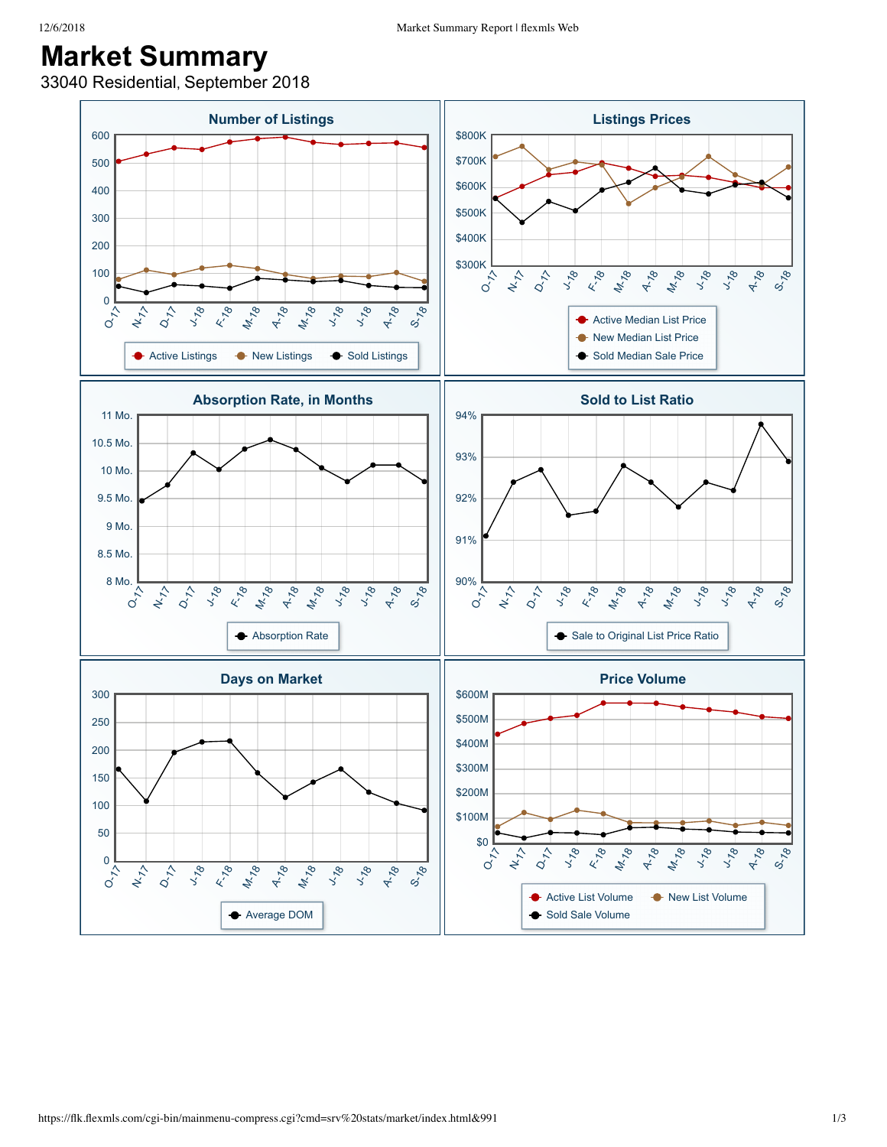## **Market Summary**

33040 Residential, September 2018

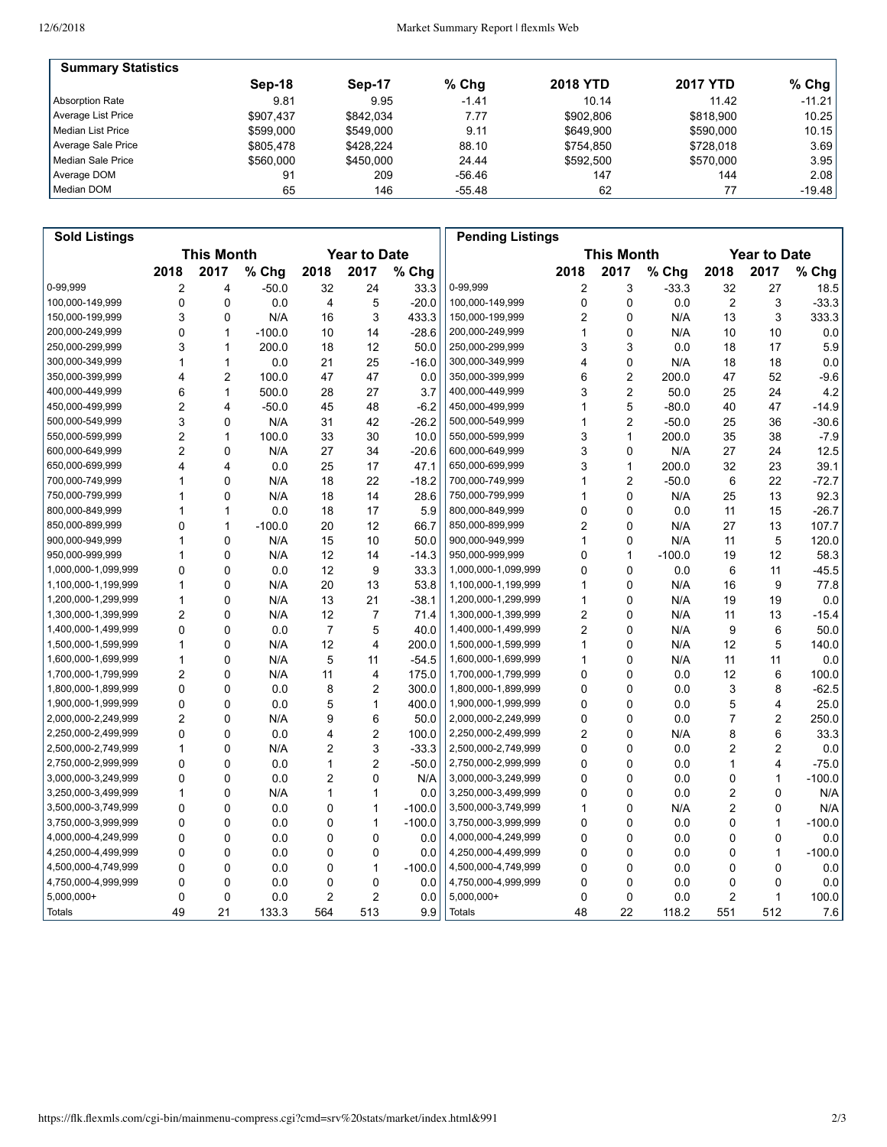| <b>Summary Statistics</b> |           |           |         |                 |                 |           |
|---------------------------|-----------|-----------|---------|-----------------|-----------------|-----------|
|                           | Sep-18    | Sep-17    | $%$ Chq | <b>2018 YTD</b> | <b>2017 YTD</b> | % Chg $ $ |
| Absorption Rate           | 9.81      | 9.95      | $-1.41$ | 10.14           | 11.42           | $-11.21$  |
| Average List Price        | \$907.437 | \$842.034 | 7.77    | \$902.806       | \$818,900       | 10.25     |
| Median List Price         | \$599,000 | \$549.000 | 9.11    | \$649.900       | \$590,000       | 10.15     |
| Average Sale Price        | \$805.478 | \$428.224 | 88.10   | \$754.850       | \$728.018       | 3.69      |
| Median Sale Price         | \$560,000 | \$450,000 | 24.44   | \$592,500       | \$570,000       | 3.95      |
| Average DOM               | 91        | 209       | -56.46  | 147             | 144             | 2.08      |
| Median DOM                | 65        | 146       | -55.48  | 62              | 77              | $-19.48$  |

| <b>Sold Listings</b> |                                          |                         |          |                |                |          | <b>Pending Listings</b> |                                          |                |          |                |                |          |
|----------------------|------------------------------------------|-------------------------|----------|----------------|----------------|----------|-------------------------|------------------------------------------|----------------|----------|----------------|----------------|----------|
|                      | <b>This Month</b><br><b>Year to Date</b> |                         |          |                |                |          |                         | <b>This Month</b><br><b>Year to Date</b> |                |          |                |                |          |
|                      | 2018                                     | 2017                    | % Chg    | 2018           | 2017           | % Chg    |                         | 2018                                     | 2017           | % Chg    | 2018           | 2017           | % Chg    |
| 0-99,999             | $\overline{\mathbf{c}}$                  | 4                       | $-50.0$  | 32             | 24             | 33.3     | 0-99,999                | $\overline{\mathbf{c}}$                  | 3              | $-33.3$  | 32             | 27             | 18.5     |
| 100,000-149,999      | $\mathbf 0$                              | $\mathbf 0$             | 0.0      | $\overline{4}$ | 5              | $-20.0$  | 100,000-149,999         | $\mathbf 0$                              | $\mathbf 0$    | 0.0      | $\overline{2}$ | 3              | $-33.3$  |
| 150,000-199,999      | 3                                        | $\Omega$                | N/A      | 16             | 3              | 433.3    | 150,000-199,999         | 2                                        | $\mathbf 0$    | N/A      | 13             | 3              | 333.3    |
| 200,000-249,999      | 0                                        | $\mathbf{1}$            | $-100.0$ | 10             | 14             | $-28.6$  | 200,000-249,999         | 1                                        | 0              | N/A      | 10             | 10             | 0.0      |
| 250,000-299,999      | 3                                        | 1                       | 200.0    | 18             | 12             | 50.0     | 250,000-299,999         | 3                                        | 3              | 0.0      | 18             | 17             | 5.9      |
| 300,000-349,999      | 1                                        | $\mathbf{1}$            | 0.0      | 21             | 25             | $-16.0$  | 300,000-349,999         | 4                                        | $\mathbf 0$    | N/A      | 18             | 18             | 0.0      |
| 350,000-399,999      | $\overline{\mathbf{4}}$                  | $\overline{2}$          | 100.0    | 47             | 47             | 0.0      | 350,000-399,999         | 6                                        | $\overline{2}$ | 200.0    | 47             | 52             | $-9.6$   |
| 400,000-449,999      | 6                                        | $\overline{1}$          | 500.0    | 28             | 27             | 3.7      | 400,000-449,999         | 3                                        | $\overline{2}$ | 50.0     | 25             | 24             | 4.2      |
| 450,000-499,999      | $\overline{2}$                           | 4                       | $-50.0$  | 45             | 48             | $-6.2$   | 450,000-499,999         | 1                                        | 5              | $-80.0$  | 40             | 47             | $-14.9$  |
| 500,000-549,999      | 3                                        | 0                       | N/A      | 31             | 42             | $-26.2$  | 500,000-549,999         | 1                                        | $\overline{2}$ | $-50.0$  | 25             | 36             | $-30.6$  |
| 550,000-599,999      | 2                                        | $\mathbf{1}$            | 100.0    | 33             | 30             | 10.0     | 550,000-599,999         | 3                                        | $\mathbf{1}$   | 200.0    | 35             | 38             | $-7.9$   |
| 600,000-649,999      | $\overline{2}$                           | 0                       | N/A      | 27             | 34             | $-20.6$  | 600,000-649,999         | 3                                        | 0              | N/A      | 27             | 24             | 12.5     |
| 650,000-699,999      | $\overline{\mathbf{4}}$                  | $\overline{\mathbf{4}}$ | 0.0      | 25             | 17             | 47.1     | 650,000-699,999         | 3                                        | $\mathbf{1}$   | 200.0    | 32             | 23             | 39.1     |
| 700,000-749,999      | 1                                        | $\mathbf 0$             | N/A      | 18             | 22             | $-18.2$  | 700,000-749,999         | 1                                        | $\overline{2}$ | $-50.0$  | 6              | 22             | $-72.7$  |
| 750,000-799,999      | 1                                        | $\mathbf 0$             | N/A      | 18             | 14             | 28.6     | 750,000-799,999         | 1                                        | $\mathbf 0$    | N/A      | 25             | 13             | 92.3     |
| 800,000-849,999      | 1                                        | $\mathbf{1}$            | 0.0      | 18             | 17             | 5.9      | 800,000-849,999         | 0                                        | $\mathbf 0$    | 0.0      | 11             | 15             | $-26.7$  |
| 850,000-899,999      | 0                                        | $\mathbf{1}$            | $-100.0$ | 20             | 12             | 66.7     | 850,000-899,999         | 2                                        | $\mathbf 0$    | N/A      | 27             | 13             | 107.7    |
| 900,000-949,999      | 1                                        | 0                       | N/A      | 15             | 10             | 50.0     | 900,000-949,999         | 1                                        | 0              | N/A      | 11             | 5              | 120.0    |
| 950,000-999,999      | 1                                        | 0                       | N/A      | 12             | 14             | $-14.3$  | 950,000-999,999         | 0                                        | $\mathbf{1}$   | $-100.0$ | 19             | 12             | 58.3     |
| 1,000,000-1,099,999  | 0                                        | $\Omega$                | 0.0      | 12             | 9              | 33.3     | 1,000,000-1,099,999     | 0                                        | $\mathbf 0$    | 0.0      | 6              | 11             | $-45.5$  |
| 1,100,000-1,199,999  | 1                                        | $\Omega$                | N/A      | 20             | 13             | 53.8     | 1,100,000-1,199,999     | 1                                        | $\Omega$       | N/A      | 16             | 9              | 77.8     |
| 1,200,000-1,299,999  | $\mathbf{1}$                             | 0                       | N/A      | 13             | 21             | $-38.1$  | 1,200,000-1,299,999     | 1                                        | $\mathbf 0$    | N/A      | 19             | 19             | 0.0      |
| 1,300,000-1,399,999  | $\overline{2}$                           | 0                       | N/A      | 12             | 7              | 71.4     | 1,300,000-1,399,999     | 2                                        | 0              | N/A      | 11             | 13             | $-15.4$  |
| 1,400,000-1,499,999  | 0                                        | $\mathbf 0$             | 0.0      | 7              | 5              | 40.0     | 1,400,000-1,499,999     | 2                                        | 0              | N/A      | 9              | 6              | 50.0     |
| 1,500,000-1,599,999  | $\mathbf{1}$                             | $\Omega$                | N/A      | 12             | 4              | 200.0    | 1,500,000-1,599,999     | $\mathbf{1}$                             | $\Omega$       | N/A      | 12             | 5              | 140.0    |
| 1,600,000-1,699,999  | 1                                        | $\Omega$                | N/A      | 5              | 11             | $-54.5$  | 1,600,000-1,699,999     | 1                                        | $\Omega$       | N/A      | 11             | 11             | 0.0      |
| 1,700,000-1,799,999  | $\overline{2}$                           | $\mathbf 0$             | N/A      | 11             | 4              | 175.0    | 1,700,000-1,799,999     | 0                                        | 0              | 0.0      | 12             | 6              | 100.0    |
| 1,800,000-1,899,999  | $\mathbf 0$                              | $\mathbf 0$             | 0.0      | 8              | $\overline{2}$ | 300.0    | 1,800,000-1,899,999     | 0                                        | 0              | 0.0      | 3              | 8              | $-62.5$  |
| 1,900,000-1,999,999  | $\mathbf 0$                              | $\mathbf 0$             | 0.0      | 5              | 1              | 400.0    | 1,900,000-1,999,999     | 0                                        | $\mathbf 0$    | 0.0      | 5              | 4              | 25.0     |
| 2,000,000-2,249,999  | $\overline{2}$                           | $\mathbf 0$             | N/A      | 9              | 6              | 50.0     | 2,000,000-2,249,999     | 0                                        | $\mathbf 0$    | 0.0      | $\overline{7}$ | $\overline{c}$ | 250.0    |
| 2,250,000-2,499,999  | 0                                        | $\Omega$                | 0.0      | 4              | $\overline{2}$ | 100.0    | 2,250,000-2,499,999     | 2                                        | $\Omega$       | N/A      | 8              | 6              | 33.3     |
| 2,500,000-2,749,999  | 1                                        | $\Omega$                | N/A      | $\overline{c}$ | 3              | $-33.3$  | 2,500,000-2,749,999     | 0                                        | 0              | 0.0      | 2              | 2              | 0.0      |
| 2,750,000-2,999,999  | $\mathbf 0$                              | $\mathbf 0$             | 0.0      | 1              | $\overline{2}$ | $-50.0$  | 2,750,000-2,999,999     | 0                                        | $\mathbf 0$    | 0.0      | 1              | 4              | $-75.0$  |
| 3,000,000-3,249,999  | 0                                        | $\mathbf 0$             | 0.0      | $\overline{2}$ | 0              | N/A      | 3,000,000-3,249,999     | 0                                        | $\mathbf 0$    | 0.0      | 0              | 1              | $-100.0$ |
| 3,250,000-3,499,999  | 1                                        | $\mathbf 0$             | N/A      | 1              | 1              | 0.0      | 3,250,000-3,499,999     | 0                                        | 0              | 0.0      | 2              | 0              | N/A      |
| 3,500,000-3,749,999  | 0                                        | 0                       | 0.0      | 0              | $\mathbf{1}$   | $-100.0$ | 3,500,000-3,749,999     | 1                                        | 0              | N/A      | 2              | 0              | N/A      |
| 3,750,000-3,999,999  | 0                                        | $\Omega$                | 0.0      | 0              | $\mathbf{1}$   | $-100.0$ | 3,750,000-3,999,999     | 0                                        | 0              | 0.0      | 0              | $\mathbf{1}$   | $-100.0$ |
| 4,000,000-4,249,999  | 0                                        | $\Omega$                | 0.0      | 0              | 0              | 0.0      | 4,000,000-4,249,999     | 0                                        | $\mathbf 0$    | 0.0      | 0              | 0              | 0.0      |
| 4,250,000-4,499,999  | $\mathbf 0$                              | $\mathbf 0$             | 0.0      | 0              | 0              | 0.0      | 4,250,000-4,499,999     | 0                                        | $\mathbf 0$    | 0.0      | 0              | 1              | $-100.0$ |
| 4,500,000-4,749,999  | $\mathbf 0$                              | $\mathbf 0$             | 0.0      | 0              | 1              | $-100.0$ | 4,500,000-4,749,999     | 0                                        | 0              | 0.0      | 0              | 0              | 0.0      |
| 4,750,000-4,999,999  | 0                                        | 0                       | 0.0      | 0              | 0              | 0.0      | 4,750,000-4,999,999     | 0                                        | 0              | 0.0      | 0              | 0              | 0.0      |
| $5,000,000+$         | 0                                        | $\mathbf 0$             | 0.0      | $\overline{c}$ | $\overline{c}$ | 0.0      | 5,000,000+              | 0                                        | $\mathbf 0$    | 0.0      | $\overline{c}$ | 1              | 100.0    |
| Totals               | 49                                       | 21                      | 133.3    | 564            | 513            | 9.9      | <b>Totals</b>           | 48                                       | 22             | 118.2    | 551            | 512            | 7.6      |
|                      |                                          |                         |          |                |                |          |                         |                                          |                |          |                |                |          |